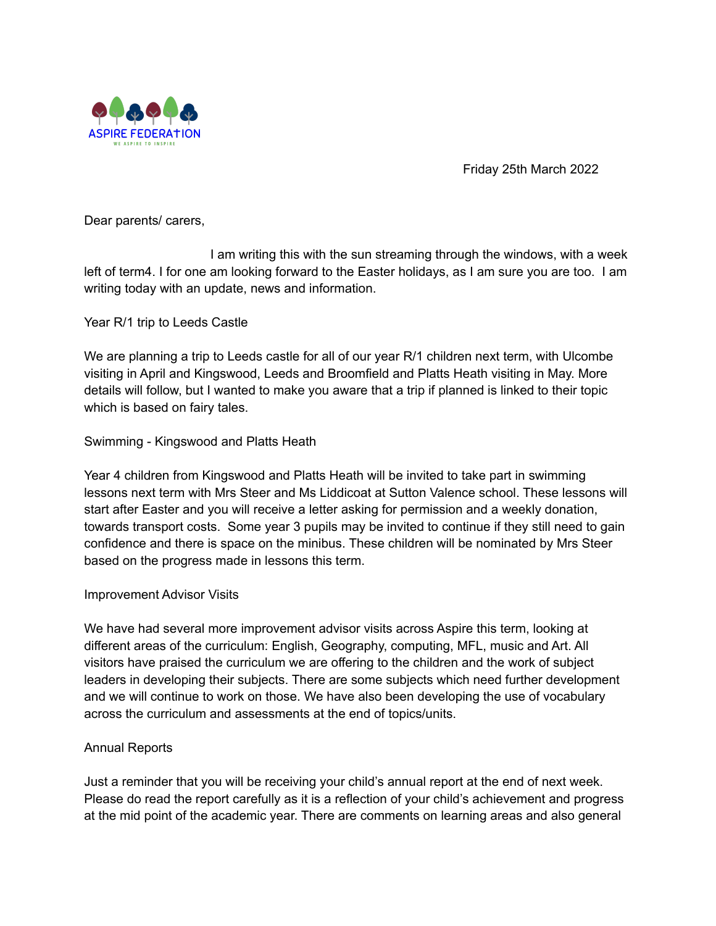

Friday 25th March 2022

Dear parents/ carers,

I am writing this with the sun streaming through the windows, with a week left of term4. I for one am looking forward to the Easter holidays, as I am sure you are too. I am writing today with an update, news and information.

Year R/1 trip to Leeds Castle

We are planning a trip to Leeds castle for all of our year R/1 children next term, with Ulcombe visiting in April and Kingswood, Leeds and Broomfield and Platts Heath visiting in May. More details will follow, but I wanted to make you aware that a trip if planned is linked to their topic which is based on fairy tales.

## Swimming - Kingswood and Platts Heath

Year 4 children from Kingswood and Platts Heath will be invited to take part in swimming lessons next term with Mrs Steer and Ms Liddicoat at Sutton Valence school. These lessons will start after Easter and you will receive a letter asking for permission and a weekly donation, towards transport costs. Some year 3 pupils may be invited to continue if they still need to gain confidence and there is space on the minibus. These children will be nominated by Mrs Steer based on the progress made in lessons this term.

## Improvement Advisor Visits

We have had several more improvement advisor visits across Aspire this term, looking at different areas of the curriculum: English, Geography, computing, MFL, music and Art. All visitors have praised the curriculum we are offering to the children and the work of subject leaders in developing their subjects. There are some subjects which need further development and we will continue to work on those. We have also been developing the use of vocabulary across the curriculum and assessments at the end of topics/units.

## Annual Reports

Just a reminder that you will be receiving your child's annual report at the end of next week. Please do read the report carefully as it is a reflection of your child's achievement and progress at the mid point of the academic year. There are comments on learning areas and also general